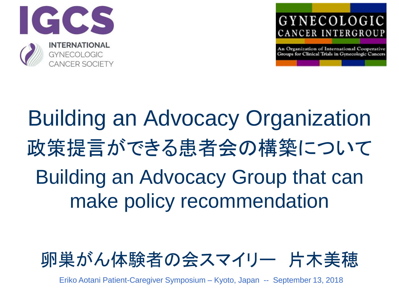



An Organization of International Cooperative Groups for Clinical Trials in Gynecologic Cancers

# Building an Advocacy Organization 政策提言ができる患者会の構築について Building an Advocacy Group that can make policy recommendation



Eriko Aotani Patient-Caregiver Symposium – Kyoto, Japan -- September 13, 2018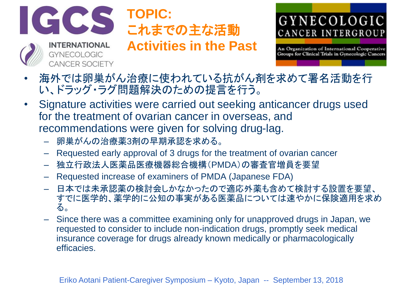

**GYNECOLOGIC** 

**CANCER SOCIETY** 

# **TOPIC:** これまでの主な活動

**Activities in the Past**



- 海外では卵巣がん治療に使われている抗がん剤を求めて署名活動を行 い、ドラッグ・ラグ問題解決のための提言を行う。
- Signature activities were carried out seeking anticancer drugs used for the treatment of ovarian cancer in overseas, and recommendations were given for solving drug-lag.
	- 卵巣がんの治療薬3剤の早期承認を求める。
	- Requested early approval of 3 drugs for the treatment of ovarian cancer
	- 独立行政法人医薬品医療機器総合機構(PMDA)の審査官増員を要望
	- Requested increase of examiners of PMDA (Japanese FDA)
	- 日本では未承認薬の検討会しかなかったので適応外薬も含めて検討する設置を要望、 すでに医学的、薬学的に公知の事実がある医薬品については速やかに保険適用を求め る。
	- Since there was a committee examining only for unapproved drugs in Japan, we requested to consider to include non-indication drugs, promptly seek medical insurance coverage for drugs already known medically or pharmacologically efficacies.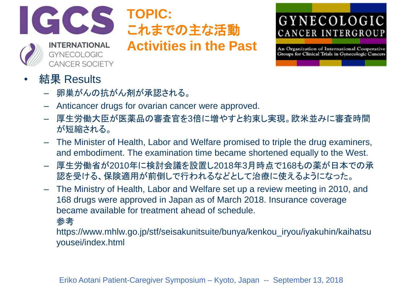

**INTERNATIONAL** 

**CANCER SOCIETY** 

**GYNECOLOGIC** 

# **TOPIC:** これまでの主な活動 **Activities in the Past**

# GYNECOLOGIC CANCER INTERGROUP

- 結果 Results
	- 卵巣がんの抗がん剤が承認される。
	- Anticancer drugs for ovarian cancer were approved.
	- 厚生労働大臣が医薬品の審査官を3倍に増やすと約束し実現。欧米並みに審査時間 が短縮される。
	- The Minister of Health, Labor and Welfare promised to triple the drug examiners, and embodiment. The examination time became shortened equally to the West.
	- 厚生労働省が2010年に検討会議を設置し2018年3月時点で168もの薬が日本での承 認を受ける、保険適用が前倒しで行われるなどとして治療に使えるようになった。
	- The Ministry of Health, Labor and Welfare set up a review meeting in 2010, and 168 drugs were approved in Japan as of March 2018. Insurance coverage became available for treatment ahead of schedule.
		- 参考
		- https://www.mhlw.go.jp/stf/seisakunitsuite/bunya/kenkou\_iryou/iyakuhin/kaihatsu yousei/index.html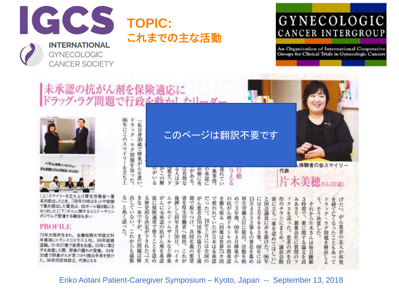

**CANCER SOCIETY** 

# **TOPIC:** これまでの主な活動

# GYNECOLOGIC CANCER INTERGROUP

An Organization of International Cooperative Groups for Clinical Trials in Gynecologic Cancers

げた!。

ん患者の友人が再発

未承認の抗がん剤を保険適応に<br>ドラッグ・ラグ問題で行政を動かし

05年にこのスマイリーを立ち上 ドラッグ・ラグ問題を知った。





スマイリーを立ち上げ四 名を提出したとき。「08年の時はネットや街頭 で集め提出した署名は、段ボール箱9箱にも なりました」(下)がんに関するセミナーやシン ポジウムで登壇する機会も多い

#### **PROFILE**

73年大阪府生まれ。金蘭短期大学国文科 卒業後にトランスコスモス入社。99年結婚 退職。01年27歳で長男を出産。03年に第2 子を流産した際、卵巣の腫れが発覚。04年 30歳で卵巣がんが見つかり摘出手術を受け た。06年同団体設立、代表となる

「私自身30歳で卵巣がんを患い このページは翻訳不要です体験者の会スマイリー はがいる がこの解 与える<br>える 筵を「ド る人は少 治療に有 の承認に 遅れてい 代表 は有効な がある。 薬事情 片木美穂 きん(37歳)

決していない。 る」と熱く語った。 る歴史的な決定が下された。「大 きな一歩ですが、 ムチンやジェムザー 問に保険適用で使うことを認め かんに未承認の抗がん剤を承認 夜押しし同年8月30日、 舌を厚生労働省へ提出。 かん患者会の団体の協力を1週 たった)。 で使われていたが日本は未承認 を勝ち取る(同薬は世界75カ国 の抗がん剤ドキシルの早期承認 15万4552筆もの署名を集め 同で取りつけ、 めて3年後、 **学生労働大臣に提出。** を経て亡くなったこともあって には2万8603筆、 と国会議員に声を掛けた。 96年 ドラッグ・ラグ問題を解決しよ **前に立ち「薬を認めてほしい** - クスを送った。患者の声を白 みあさり、 3時間で、 けのチラシにまとめ、 それから片木さんは毎日睡眠 10年7月には全国の 製薬会社に質問のフ 薬に関する論文を誌 09年4月卵巣がん これからも頑張 共同名義の要望 まだ問題は解 ルなど卵巣 活動を始 08年には 議員会館 これが ハイカ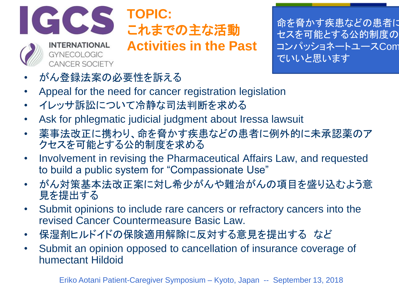

**GYNECOLOGIC CANCER SOCIETY** 

# **TOPIC:** これまでの主な活動

**Activities in the Past**

命を脅かす疾患などの患者に セスを可能とする公的制度の コンパッショネートユースCom でいいと思います

- がん登録法案の必要性を訴える
- Appeal for the need for cancer registration legislation
- イレッサ訴訟について冷静な司法判断を求める
- Ask for phlegmatic judicial judgment about Iressa lawsuit
- 薬事法改正に携わり、命を脅かす疾患などの患者に例外的に未承認薬のア クセスを可能とする公的制度を求める
- Involvement in revising the Pharmaceutical Affairs Law, and requested to build a public system for "Compassionate Use"
- がん対策基本法改正案に対し希少がんや難治がんの項目を盛り込むよう意 見を提出する
- Submit opinions to include rare cancers or refractory cancers into the revised Cancer Countermeasure Basic Law.
- 保湿剤ヒルドイドの保険適用解除に反対する意見を提出する など
- Submit an opinion opposed to cancellation of insurance coverage of humectant Hildoid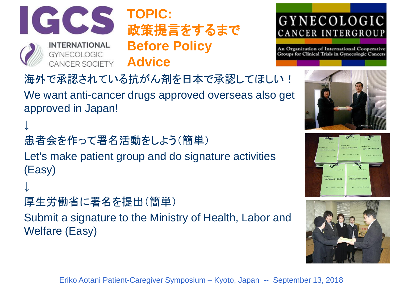

↓

↓

# **TOPIC:** 政策提言をするまで **Before Policy Advice**

# GYNECOLOGIC CANCER INTERGROUP

An Organization of International Cooperative Groups for Clinical Trials in Gynecologic Cancers

海外で承認されている抗がん剤を日本で承認してほしい!

We want anti-cancer drugs approved overseas also get approved in Japan!

患者会を作って署名活動をしよう(簡単)

Let's make patient group and do signature activities (Easy)

```
厚生労働省に署名を提出(簡単)
```
Submit a signature to the Ministry of Health, Labor and Welfare (Easy)





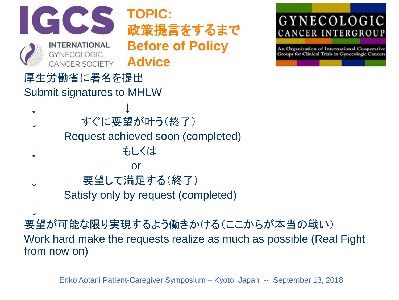

Eriko Aotani Patient-Caregiver Symposium – Kyoto, Japan -- September 13, 2018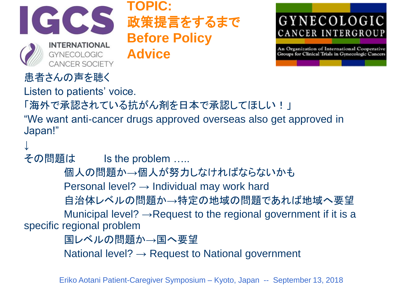

**TOPIC:** 政策提言をするまで **Before Policy Advice**



An Organization of International Cooperative Groups for Clinical Trials in Gynecologic Cancers

# 患者さんの声を聴く

Listen to patients' voice.

「海外で承認されている抗がん剤を日本で承認してほしい!」

"We want anti-cancer drugs approved overseas also get approved in Japan!"

↓

その問題は Is the problem .....

個人の問題か→個人が努力しなければならないかも

Personal level?  $\rightarrow$  Individual may work hard

自治体レベルの問題か→特定の地域の問題であれば地域へ要望

Municipal level?  $\rightarrow$ Request to the regional government if it is a specific regional problem

国レベルの問題か→国へ要望

National level?  $\rightarrow$  Request to National government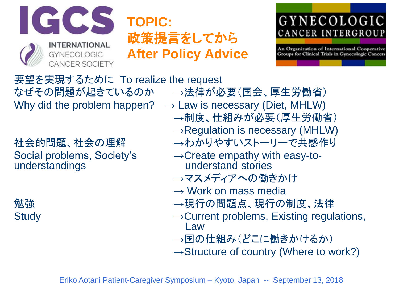

# **TOPIC:** 政策提言をしてから **After Policy Advice**

# GYNECOLOGIC CANCER INTERGROUP

An Organization of International Cooperative Groups for Clinical Trials in Gynecologic Cancers

要望を実現するために To realize the request なぜその問題が起きているのか →法律が必要(国会、厚生労働省) Why did the problem happen?  $\rightarrow$  Law is necessary (Diet, MHLW)

understandings

→制度、仕組みが必要(厚生労働省)  $\rightarrow$ Regulation is necessary (MHLW) 社会的問題、社会の理解 →わかりやすいストーリーで共感作り Social problems, Society's →Create empathy with easy-to-<br>understandings and understand stories →マスメディアへの働きかけ

- $\rightarrow$  Work on mass media
- 勉強 → → →現行の問題点、現行の制度、法律
- Study →Current problems, Existing regulations, Law
	- →国の仕組み(どこに働きかけるか)
	- $\rightarrow$ Structure of country (Where to work?)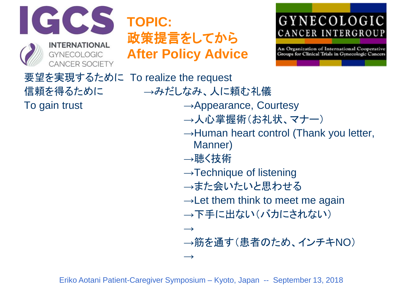

# **TOPIC:** 政策提言をしてから **After Policy Advice**

# GYNECOLOGIC CANCER INTERGROUP

An Organization of International Cooperative Groups for Clinical Trials in Gynecologic Cancers

要望を実現するために To realize the request 信頼を得るために →みだしなみ、人に頼む礼儀 To gain trust → Appearance, Courtesy →人心掌握術(お礼状、マナー)  $\rightarrow$ Human heart control (Thank you letter, Manner) →聴く技術  $\rightarrow$ Technique of listening →また会いたいと思わせる  $\rightarrow$  Let them think to meet me again →下手に出ない(バカにされない)  $\rightarrow$ →筋を通す(患者のため、インチキNO)  $\rightarrow$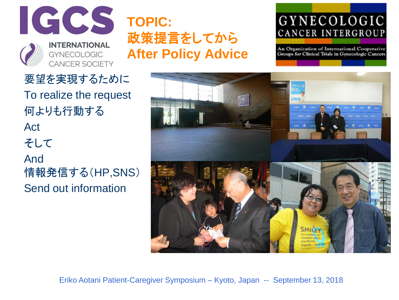

要望を実現するために

To realize the request

Send out information

何よりも行動する

Act

そして

And

# **TOPIC:** 政策提言をしてから **After Policy Advice**

# GYNECOLOGIC CANCER INTERGROUP

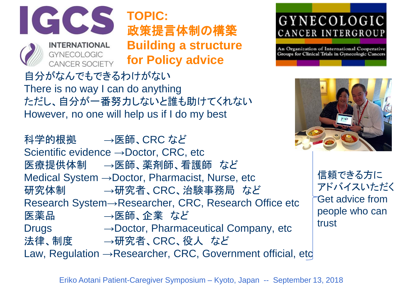

**CANCER SOCIETY** 

**TOPIC:** 政策提言体制の構築 **Building a structure for Policy advice**

自分がなんでもできるわけがない There is no way I can do anything ただし、自分が一番努力しないと誰も助けてくれない However, no one will help us if I do my best

科学的根拠 →医師、CRC など Scientific evidence →Doctor, CRC, etc 医療提供体制 →医師、薬剤師、看護師 など Medical System →Doctor, Pharmacist, Nurse, etc 研究体制 →研究者、CRC、治験事務局 など Research System→Researcher, CRC, Research Office etc 医薬品 →医師、企業 など Drugs →Doctor, Pharmaceutical Company, etc 法律、制度 →研究者、CRC、役人 など Law, Regulation → Researcher, CRC, Government official, etc

GYNECOLOGIC CANCER INTERGROUP

An Organization of International Cooperative Groups for Clinical Trials in Gynecologic Cancers



信頼できる方に アドバイスいただく Get advice from people who can trust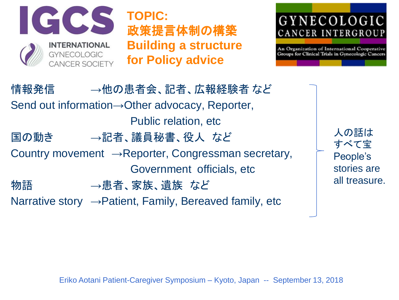

**TOPIC:** 政策提言体制の構築 **Building a structure for Policy advice**

# GYNECOLOGIC CANCER INTERGROUP

An Organization of International Cooperative Groups for Clinical Trials in Gynecologic Cancers

情報発信 →他の患者会、記者、広報経験者 など Send out information→Other advocacy, Reporter, Public relation, etc 国の動き →記者、議員秘書、役人 など Country movement  $\rightarrow$ Reporter, Congressman secretary, Government officials, etc 物語 →患者、家族、遺族 など Narrative story  $\rightarrow$  Patient, Family, Bereaved family, etc

人の話は すべて宝 People's stories are all treasure.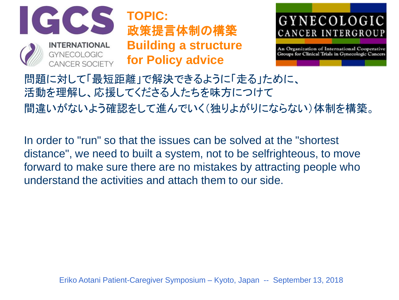

**TOPIC:** 政策提言体制の構築 **Building a structure for Policy advice**



An Organization of International Cooperative Groups for Clinical Trials in Gynecologic Cancers

問題に対して「最短距離」で解決できるように「走る」ために、 活動を理解し、応援してくださる人たちを味方につけて 間違いがないよう確認をして進んでいく(独りよがりにならない)体制を構築。

In order to "run" so that the issues can be solved at the "shortest distance", we need to built a system, not to be selfrighteous, to move forward to make sure there are no mistakes by attracting people who understand the activities and attach them to our side.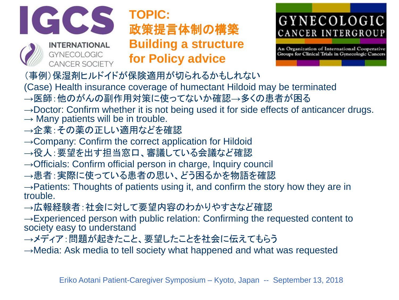

# **TOPIC:** 政策提言体制の構築 **Building a structure for Policy advice**

# GYNECOLOGIC CANCER INTERGROUP

An Organization of International Cooperative Groups for Clinical Trials in Gynecologic Cancers

(事例)保湿剤ヒルドイドが保険適用が切られるかもしれない

(Case) Health insurance coverage of humectant Hildoid may be terminated

- →医師:他のがんの副作用対策に使ってないか確認→多くの患者が困る
- $\rightarrow$ Doctor: Confirm whether it is not being used it for side effects of anticancer drugs.
- $\rightarrow$  Many patients will be in trouble.
- →企業:その薬の正しい適用などを確認
- $\rightarrow$  Company: Confirm the correct application for Hildoid
- →役人:要望を出す担当窓口、審議している会議など確認
- $\rightarrow$ Officials: Confirm official person in charge, Inquiry council
- →患者:実際に使っている患者の思い、どう困るかを物語を確認

 $\rightarrow$  Patients: Thoughts of patients using it, and confirm the story how they are in trouble.

→広報経験者:社会に対して要望内容のわかりやすさなど確認

 $\rightarrow$ Experienced person with public relation: Confirming the requested content to society easy to understand

→メディア:問題が起きたこと、要望したことを社会に伝えてもらう

 $\rightarrow$ Media: Ask media to tell society what happened and what was requested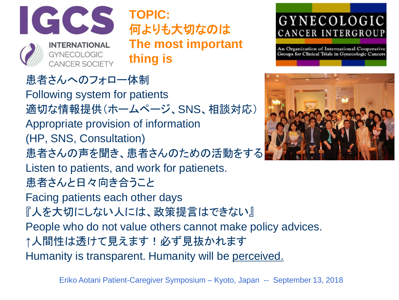

**TOPIC:** 何よりも大切なのは **The most important thing is**

# 患者さんへのフォロー体制

Following system for patients 適切な情報提供(ホームページ、SNS、相談対応) Appropriate provision of information (HP, SNS, Consultation) 患者さんの声を聞き、患者さんのための活動をする Listen to patients, and work for patienets. 患者さんと日々向き合うこと Facing patients each other days 『人を大切にしない人には、政策提言はできない』 People who do not value others cannot make policy advices. ↑人間性は透けて見えます!必ず見抜かれます Humanity is transparent. Humanity will be perceived.

# GYNECOLOGIC CANCER INTERGROUP